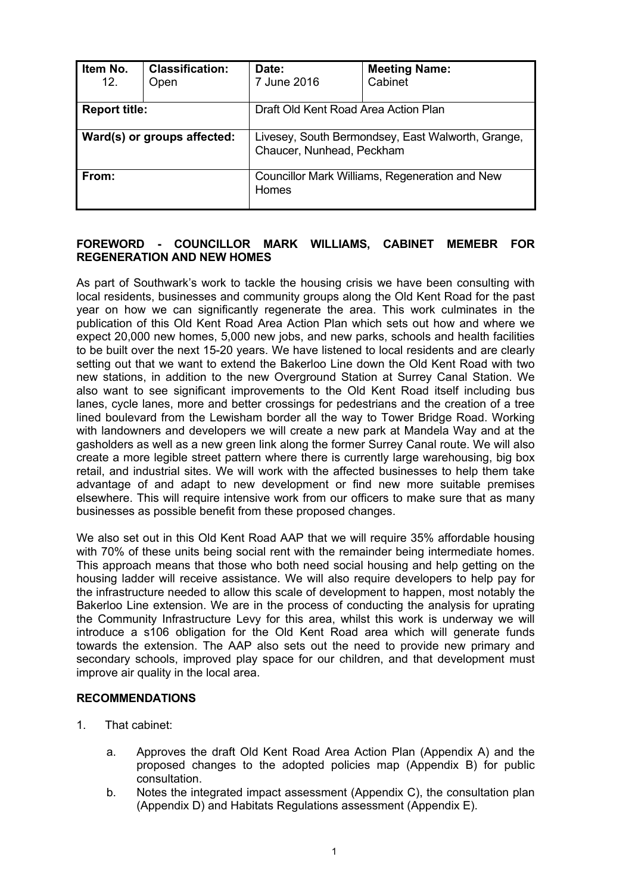| Item No.<br>12.             | <b>Classification:</b><br>Open | Date:<br>7 June 2016                                                           | <b>Meeting Name:</b><br>Cabinet |
|-----------------------------|--------------------------------|--------------------------------------------------------------------------------|---------------------------------|
| <b>Report title:</b>        |                                | Draft Old Kent Road Area Action Plan                                           |                                 |
| Ward(s) or groups affected: |                                | Livesey, South Bermondsey, East Walworth, Grange,<br>Chaucer, Nunhead, Peckham |                                 |
| From:                       |                                | Councillor Mark Williams, Regeneration and New<br>Homes                        |                                 |

## **FOREWORD - COUNCILLOR MARK WILLIAMS, CABINET MEMEBR FOR REGENERATION AND NEW HOMES**

As part of Southwark's work to tackle the housing crisis we have been consulting with local residents, businesses and community groups along the Old Kent Road for the past year on how we can significantly regenerate the area. This work culminates in the publication of this Old Kent Road Area Action Plan which sets out how and where we expect 20,000 new homes, 5,000 new jobs, and new parks, schools and health facilities to be built over the next 15-20 years. We have listened to local residents and are clearly setting out that we want to extend the Bakerloo Line down the Old Kent Road with two new stations, in addition to the new Overground Station at Surrey Canal Station. We also want to see significant improvements to the Old Kent Road itself including bus lanes, cycle lanes, more and better crossings for pedestrians and the creation of a tree lined boulevard from the Lewisham border all the way to Tower Bridge Road. Working with landowners and developers we will create a new park at Mandela Way and at the gasholders as well as a new green link along the former Surrey Canal route. We will also create a more legible street pattern where there is currently large warehousing, big box retail, and industrial sites. We will work with the affected businesses to help them take advantage of and adapt to new development or find new more suitable premises elsewhere. This will require intensive work from our officers to make sure that as many businesses as possible benefit from these proposed changes.

We also set out in this Old Kent Road AAP that we will require 35% affordable housing with 70% of these units being social rent with the remainder being intermediate homes. This approach means that those who both need social housing and help getting on the housing ladder will receive assistance. We will also require developers to help pay for the infrastructure needed to allow this scale of development to happen, most notably the Bakerloo Line extension. We are in the process of conducting the analysis for uprating the Community Infrastructure Levy for this area, whilst this work is underway we will introduce a s106 obligation for the Old Kent Road area which will generate funds towards the extension. The AAP also sets out the need to provide new primary and secondary schools, improved play space for our children, and that development must improve air quality in the local area.

#### **RECOMMENDATIONS**

- 1. That cabinet:
	- a. Approves the draft Old Kent Road Area Action Plan (Appendix A) and the proposed changes to the adopted policies map (Appendix B) for public consultation.
	- b. Notes the integrated impact assessment (Appendix C), the consultation plan (Appendix D) and Habitats Regulations assessment (Appendix E).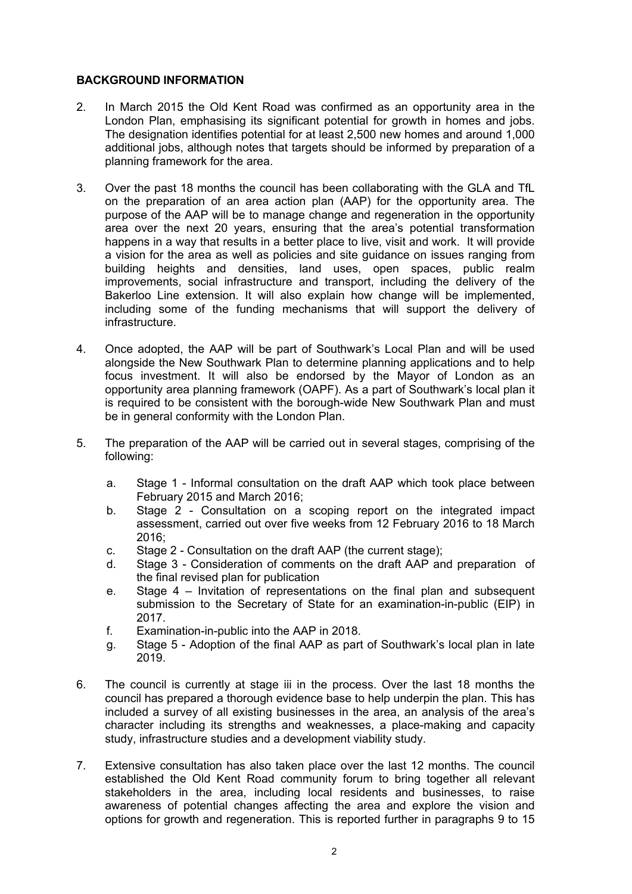## **BACKGROUND INFORMATION**

- 2. In March 2015 the Old Kent Road was confirmed as an opportunity area in the London Plan, emphasising its significant potential for growth in homes and jobs. The designation identifies potential for at least 2,500 new homes and around 1,000 additional jobs, although notes that targets should be informed by preparation of a planning framework for the area.
- 3. Over the past 18 months the council has been collaborating with the GLA and TfL on the preparation of an area action plan (AAP) for the opportunity area. The purpose of the AAP will be to manage change and regeneration in the opportunity area over the next 20 years, ensuring that the area's potential transformation happens in a way that results in a better place to live, visit and work. It will provide a vision for the area as well as policies and site guidance on issues ranging from building heights and densities, land uses, open spaces, public realm improvements, social infrastructure and transport, including the delivery of the Bakerloo Line extension. It will also explain how change will be implemented, including some of the funding mechanisms that will support the delivery of infrastructure.
- 4. Once adopted, the AAP will be part of Southwark's Local Plan and will be used alongside the New Southwark Plan to determine planning applications and to help focus investment. It will also be endorsed by the Mayor of London as an opportunity area planning framework (OAPF). As a part of Southwark's local plan it is required to be consistent with the borough-wide New Southwark Plan and must be in general conformity with the London Plan.
- 5. The preparation of the AAP will be carried out in several stages, comprising of the following:
	- a. Stage 1 Informal consultation on the draft AAP which took place between February 2015 and March 2016;
	- b. Stage 2 Consultation on a scoping report on the integrated impact assessment, carried out over five weeks from 12 February 2016 to 18 March  $2016$
	- c. Stage 2 Consultation on the draft AAP (the current stage);
	- d. Stage 3 Consideration of comments on the draft AAP and preparation of the final revised plan for publication
	- e. Stage  $4$  Invitation of representations on the final plan and subsequent submission to the Secretary of State for an examination-in-public (EIP) in 2017.
	- f. Examination-in-public into the AAP in 2018.
	- g. Stage 5 Adoption of the final AAP as part of Southwark's local plan in late 2019.
- 6. The council is currently at stage iii in the process. Over the last 18 months the council has prepared a thorough evidence base to help underpin the plan. This has included a survey of all existing businesses in the area, an analysis of the area's character including its strengths and weaknesses, a place-making and capacity study, infrastructure studies and a development viability study.
- 7. Extensive consultation has also taken place over the last 12 months. The council established the Old Kent Road community forum to bring together all relevant stakeholders in the area, including local residents and businesses, to raise awareness of potential changes affecting the area and explore the vision and options for growth and regeneration. This is reported further in paragraphs 9 to 15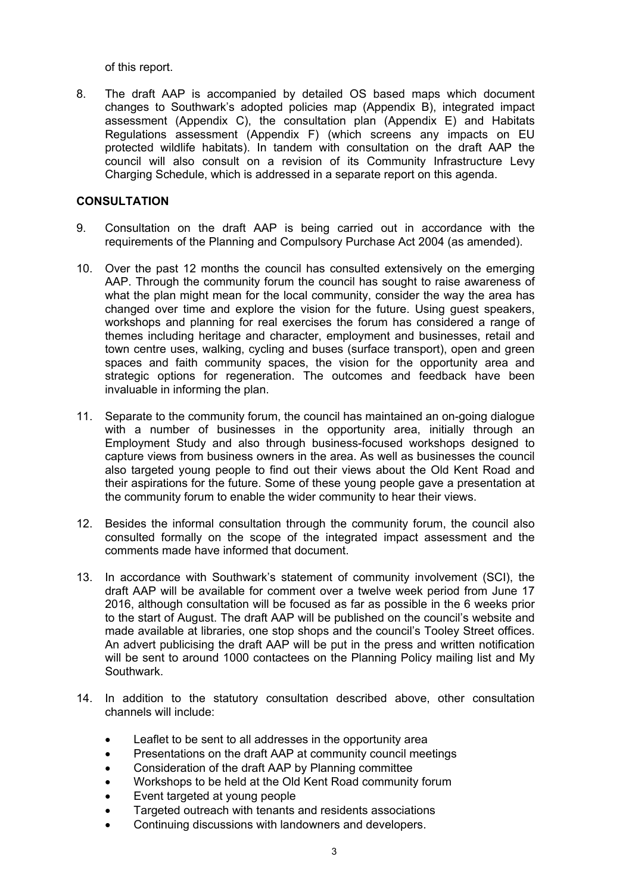of this report.

8. The draft AAP is accompanied by detailed OS based maps which document changes to Southwark's adopted policies map (Appendix B), integrated impact assessment (Appendix C), the consultation plan (Appendix E) and Habitats Regulations assessment (Appendix F) (which screens any impacts on EU protected wildlife habitats). In tandem with consultation on the draft AAP the council will also consult on a revision of its Community Infrastructure Levy Charging Schedule, which is addressed in a separate report on this agenda.

## **CONSULTATION**

- 9. Consultation on the draft AAP is being carried out in accordance with the requirements of the Planning and Compulsory Purchase Act 2004 (as amended).
- 10. Over the past 12 months the council has consulted extensively on the emerging AAP. Through the community forum the council has sought to raise awareness of what the plan might mean for the local community, consider the way the area has changed over time and explore the vision for the future. Using guest speakers, workshops and planning for real exercises the forum has considered a range of themes including heritage and character, employment and businesses, retail and town centre uses, walking, cycling and buses (surface transport), open and green spaces and faith community spaces, the vision for the opportunity area and strategic options for regeneration. The outcomes and feedback have been invaluable in informing the plan.
- 11. Separate to the community forum, the council has maintained an on-going dialogue with a number of businesses in the opportunity area, initially through an Employment Study and also through business-focused workshops designed to capture views from business owners in the area. As well as businesses the council also targeted young people to find out their views about the Old Kent Road and their aspirations for the future. Some of these young people gave a presentation at the community forum to enable the wider community to hear their views.
- 12. Besides the informal consultation through the community forum, the council also consulted formally on the scope of the integrated impact assessment and the comments made have informed that document.
- 13. In accordance with Southwark's statement of community involvement (SCI), the draft AAP will be available for comment over a twelve week period from June 17 2016, although consultation will be focused as far as possible in the 6 weeks prior to the start of August. The draft AAP will be published on the council's website and made available at libraries, one stop shops and the council's Tooley Street offices. An advert publicising the draft AAP will be put in the press and written notification will be sent to around 1000 contactees on the Planning Policy mailing list and My Southwark.
- 14. In addition to the statutory consultation described above, other consultation channels will include:
	- Leaflet to be sent to all addresses in the opportunity area
	- Presentations on the draft AAP at community council meetings
	- Consideration of the draft AAP by Planning committee
	- Workshops to be held at the Old Kent Road community forum
	- Event targeted at young people
	- Targeted outreach with tenants and residents associations
	- Continuing discussions with landowners and developers.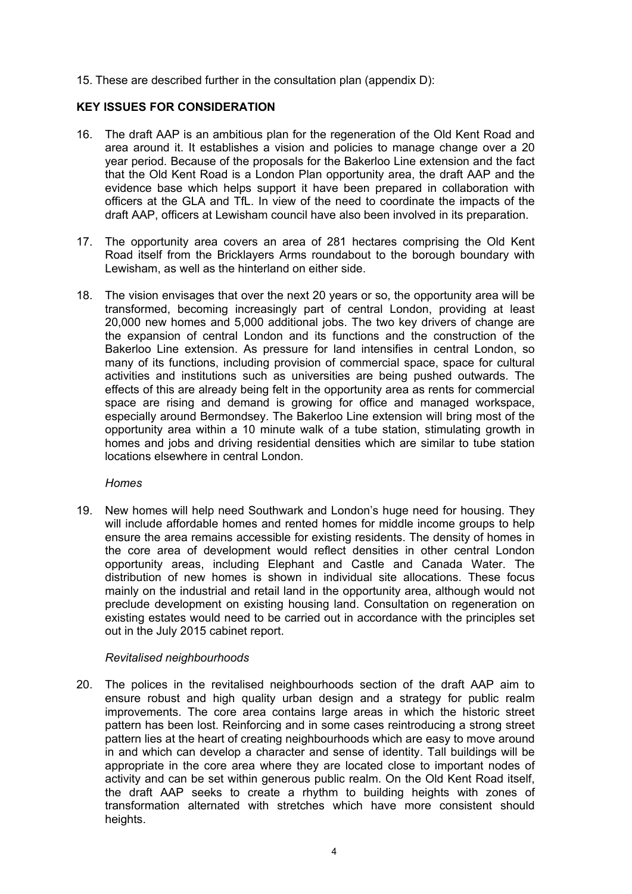15. These are described further in the consultation plan (appendix D):

## **KEY ISSUES FOR CONSIDERATION**

- 16. The draft AAP is an ambitious plan for the regeneration of the Old Kent Road and area around it. It establishes a vision and policies to manage change over a 20 year period. Because of the proposals for the Bakerloo Line extension and the fact that the Old Kent Road is a London Plan opportunity area, the draft AAP and the evidence base which helps support it have been prepared in collaboration with officers at the GLA and TfL. In view of the need to coordinate the impacts of the draft AAP, officers at Lewisham council have also been involved in its preparation.
- 17. The opportunity area covers an area of 281 hectares comprising the Old Kent Road itself from the Bricklayers Arms roundabout to the borough boundary with Lewisham, as well as the hinterland on either side.
- 18. The vision envisages that over the next 20 years or so, the opportunity area will be transformed, becoming increasingly part of central London, providing at least 20,000 new homes and 5,000 additional jobs. The two key drivers of change are the expansion of central London and its functions and the construction of the Bakerloo Line extension. As pressure for land intensifies in central London, so many of its functions, including provision of commercial space, space for cultural activities and institutions such as universities are being pushed outwards. The effects of this are already being felt in the opportunity area as rents for commercial space are rising and demand is growing for office and managed workspace, especially around Bermondsey. The Bakerloo Line extension will bring most of the opportunity area within a 10 minute walk of a tube station, stimulating growth in homes and jobs and driving residential densities which are similar to tube station locations elsewhere in central London.

## *Homes*

19. New homes will help need Southwark and London's huge need for housing. They will include affordable homes and rented homes for middle income groups to help ensure the area remains accessible for existing residents. The density of homes in the core area of development would reflect densities in other central London opportunity areas, including Elephant and Castle and Canada Water. The distribution of new homes is shown in individual site allocations. These focus mainly on the industrial and retail land in the opportunity area, although would not preclude development on existing housing land. Consultation on regeneration on existing estates would need to be carried out in accordance with the principles set out in the July 2015 cabinet report.

## *Revitalised neighbourhoods*

20. The polices in the revitalised neighbourhoods section of the draft AAP aim to ensure robust and high quality urban design and a strategy for public realm improvements. The core area contains large areas in which the historic street pattern has been lost. Reinforcing and in some cases reintroducing a strong street pattern lies at the heart of creating neighbourhoods which are easy to move around in and which can develop a character and sense of identity. Tall buildings will be appropriate in the core area where they are located close to important nodes of activity and can be set within generous public realm. On the Old Kent Road itself, the draft AAP seeks to create a rhythm to building heights with zones of transformation alternated with stretches which have more consistent should heights.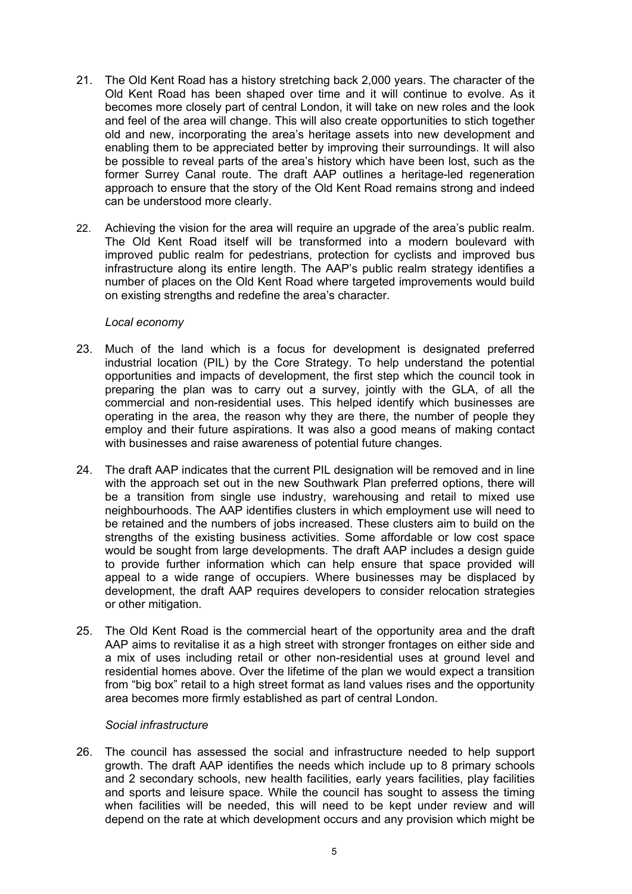- 21. The Old Kent Road has a history stretching back 2,000 years. The character of the Old Kent Road has been shaped over time and it will continue to evolve. As it becomes more closely part of central London, it will take on new roles and the look and feel of the area will change. This will also create opportunities to stich together old and new, incorporating the area's heritage assets into new development and enabling them to be appreciated better by improving their surroundings. It will also be possible to reveal parts of the area's history which have been lost, such as the former Surrey Canal route. The draft AAP outlines a heritage-led regeneration approach to ensure that the story of the Old Kent Road remains strong and indeed can be understood more clearly.
- 22. Achieving the vision for the area will require an upgrade of the area's public realm. The Old Kent Road itself will be transformed into a modern boulevard with improved public realm for pedestrians, protection for cyclists and improved bus infrastructure along its entire length. The AAP's public realm strategy identifies a number of places on the Old Kent Road where targeted improvements would build on existing strengths and redefine the area's character.

#### *Local economy*

- 23. Much of the land which is a focus for development is designated preferred industrial location (PIL) by the Core Strategy. To help understand the potential opportunities and impacts of development, the first step which the council took in preparing the plan was to carry out a survey, jointly with the GLA, of all the commercial and non-residential uses. This helped identify which businesses are operating in the area, the reason why they are there, the number of people they employ and their future aspirations. It was also a good means of making contact with businesses and raise awareness of potential future changes.
- 24. The draft AAP indicates that the current PIL designation will be removed and in line with the approach set out in the new Southwark Plan preferred options, there will be a transition from single use industry, warehousing and retail to mixed use neighbourhoods. The AAP identifies clusters in which employment use will need to be retained and the numbers of jobs increased. These clusters aim to build on the strengths of the existing business activities. Some affordable or low cost space would be sought from large developments. The draft AAP includes a design guide to provide further information which can help ensure that space provided will appeal to a wide range of occupiers. Where businesses may be displaced by development, the draft AAP requires developers to consider relocation strategies or other mitigation.
- 25. The Old Kent Road is the commercial heart of the opportunity area and the draft AAP aims to revitalise it as a high street with stronger frontages on either side and a mix of uses including retail or other non-residential uses at ground level and residential homes above. Over the lifetime of the plan we would expect a transition from "big box" retail to a high street format as land values rises and the opportunity area becomes more firmly established as part of central London.

#### *Social infrastructure*

26. The council has assessed the social and infrastructure needed to help support growth. The draft AAP identifies the needs which include up to 8 primary schools and 2 secondary schools, new health facilities, early years facilities, play facilities and sports and leisure space. While the council has sought to assess the timing when facilities will be needed, this will need to be kept under review and will depend on the rate at which development occurs and any provision which might be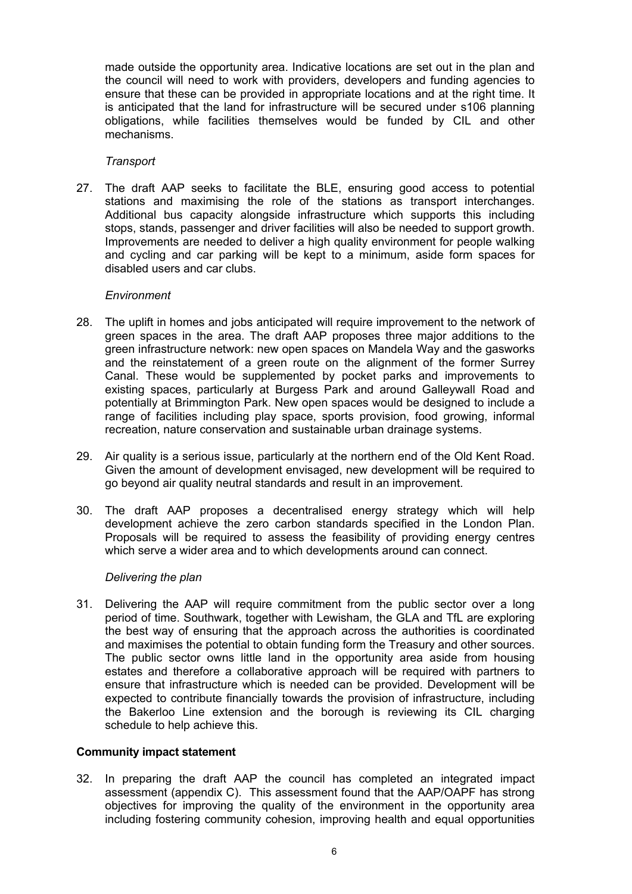made outside the opportunity area. Indicative locations are set out in the plan and the council will need to work with providers, developers and funding agencies to ensure that these can be provided in appropriate locations and at the right time. It is anticipated that the land for infrastructure will be secured under s106 planning obligations, while facilities themselves would be funded by CIL and other mechanisms.

### *Transport*

27. The draft AAP seeks to facilitate the BLE, ensuring good access to potential stations and maximising the role of the stations as transport interchanges. Additional bus capacity alongside infrastructure which supports this including stops, stands, passenger and driver facilities will also be needed to support growth. Improvements are needed to deliver a high quality environment for people walking and cycling and car parking will be kept to a minimum, aside form spaces for disabled users and car clubs.

#### *Environment*

- 28. The uplift in homes and jobs anticipated will require improvement to the network of green spaces in the area. The draft AAP proposes three major additions to the green infrastructure network: new open spaces on Mandela Way and the gasworks and the reinstatement of a green route on the alignment of the former Surrey Canal. These would be supplemented by pocket parks and improvements to existing spaces, particularly at Burgess Park and around Galleywall Road and potentially at Brimmington Park. New open spaces would be designed to include a range of facilities including play space, sports provision, food growing, informal recreation, nature conservation and sustainable urban drainage systems.
- 29. Air quality is a serious issue, particularly at the northern end of the Old Kent Road. Given the amount of development envisaged, new development will be required to go beyond air quality neutral standards and result in an improvement.
- 30. The draft AAP proposes a decentralised energy strategy which will help development achieve the zero carbon standards specified in the London Plan. Proposals will be required to assess the feasibility of providing energy centres which serve a wider area and to which developments around can connect.

#### *Delivering the plan*

31. Delivering the AAP will require commitment from the public sector over a long period of time. Southwark, together with Lewisham, the GLA and TfL are exploring the best way of ensuring that the approach across the authorities is coordinated and maximises the potential to obtain funding form the Treasury and other sources. The public sector owns little land in the opportunity area aside from housing estates and therefore a collaborative approach will be required with partners to ensure that infrastructure which is needed can be provided. Development will be expected to contribute financially towards the provision of infrastructure, including the Bakerloo Line extension and the borough is reviewing its CIL charging schedule to help achieve this.

#### **Community impact statement**

32. In preparing the draft AAP the council has completed an integrated impact assessment (appendix C). This assessment found that the AAP/OAPF has strong objectives for improving the quality of the environment in the opportunity area including fostering community cohesion, improving health and equal opportunities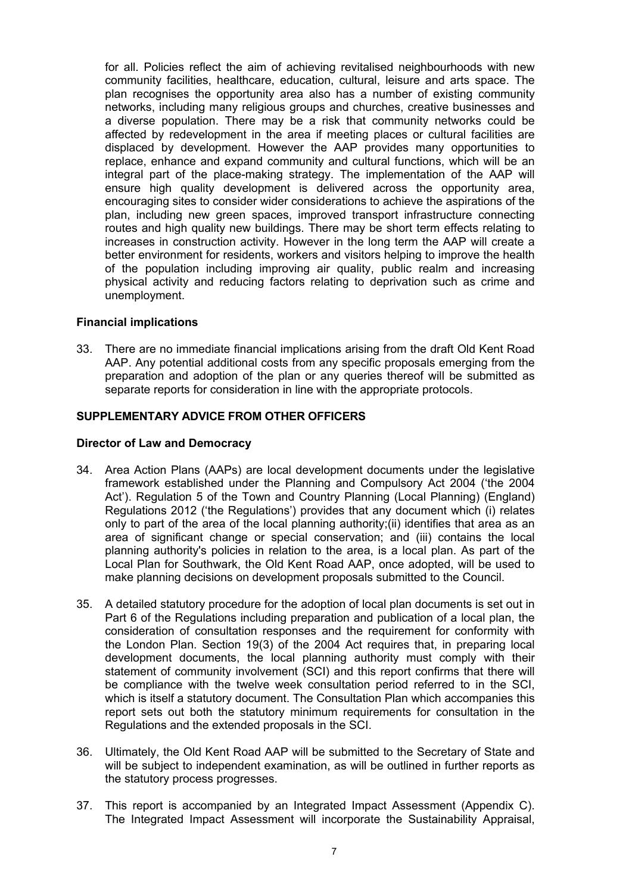for all. Policies reflect the aim of achieving revitalised neighbourhoods with new community facilities, healthcare, education, cultural, leisure and arts space. The plan recognises the opportunity area also has a number of existing community networks, including many religious groups and churches, creative businesses and a diverse population. There may be a risk that community networks could be affected by redevelopment in the area if meeting places or cultural facilities are displaced by development. However the AAP provides many opportunities to replace, enhance and expand community and cultural functions, which will be an integral part of the place-making strategy. The implementation of the AAP will ensure high quality development is delivered across the opportunity area, encouraging sites to consider wider considerations to achieve the aspirations of the plan, including new green spaces, improved transport infrastructure connecting routes and high quality new buildings. There may be short term effects relating to increases in construction activity. However in the long term the AAP will create a better environment for residents, workers and visitors helping to improve the health of the population including improving air quality, public realm and increasing physical activity and reducing factors relating to deprivation such as crime and unemployment.

#### **Financial implications**

33. There are no immediate financial implications arising from the draft Old Kent Road AAP. Any potential additional costs from any specific proposals emerging from the preparation and adoption of the plan or any queries thereof will be submitted as separate reports for consideration in line with the appropriate protocols.

### **SUPPLEMENTARY ADVICE FROM OTHER OFFICERS**

#### **Director of Law and Democracy**

- 34. Area Action Plans (AAPs) are local development documents under the legislative framework established under the Planning and Compulsory Act 2004 ('the 2004 Act'). Regulation 5 of the Town and Country Planning (Local Planning) (England) Regulations 2012 ('the Regulations') provides that any document which (i) relates only to part of the area of the local planning authority;(ii) identifies that area as an area of significant change or special conservation; and (iii) contains the local planning authority's policies in relation to the area, is a local plan. As part of the Local Plan for Southwark, the Old Kent Road AAP, once adopted, will be used to make planning decisions on development proposals submitted to the Council.
- 35. A detailed statutory procedure for the adoption of local plan documents is set out in Part 6 of the Regulations including preparation and publication of a local plan, the consideration of consultation responses and the requirement for conformity with the London Plan. Section 19(3) of the 2004 Act requires that, in preparing local development documents, the local planning authority must comply with their statement of community involvement (SCI) and this report confirms that there will be compliance with the twelve week consultation period referred to in the SCI, which is itself a statutory document. The Consultation Plan which accompanies this report sets out both the statutory minimum requirements for consultation in the Regulations and the extended proposals in the SCI.
- 36. Ultimately, the Old Kent Road AAP will be submitted to the Secretary of State and will be subject to independent examination, as will be outlined in further reports as the statutory process progresses.
- 37. This report is accompanied by an Integrated Impact Assessment (Appendix C). The Integrated Impact Assessment will incorporate the Sustainability Appraisal,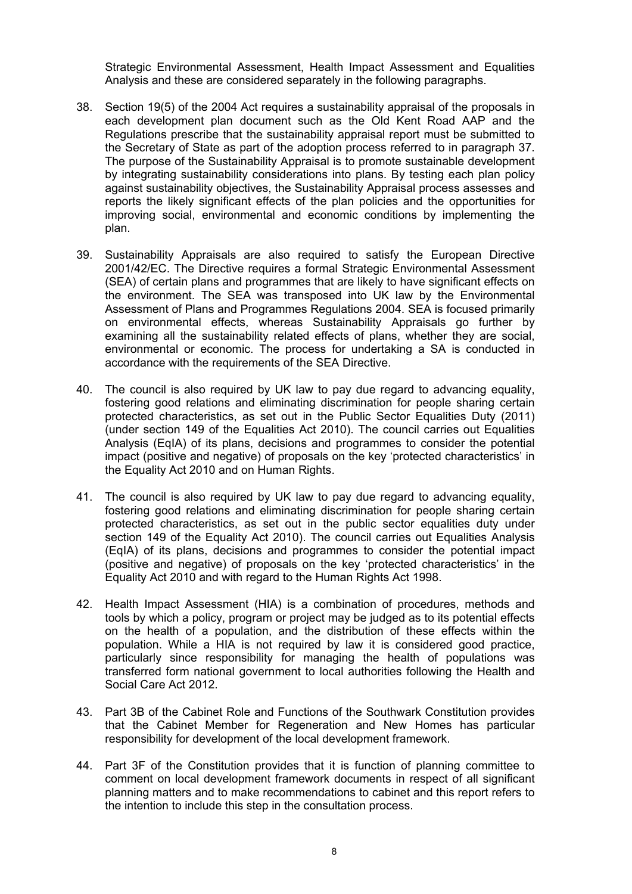Strategic Environmental Assessment, Health Impact Assessment and Equalities Analysis and these are considered separately in the following paragraphs.

- 38. Section 19(5) of the 2004 Act requires a sustainability appraisal of the proposals in each development plan document such as the Old Kent Road AAP and the Regulations prescribe that the sustainability appraisal report must be submitted to the Secretary of State as part of the adoption process referred to in paragraph 37. The purpose of the Sustainability Appraisal is to promote sustainable development by integrating sustainability considerations into plans. By testing each plan policy against sustainability objectives, the Sustainability Appraisal process assesses and reports the likely significant effects of the plan policies and the opportunities for improving social, environmental and economic conditions by implementing the plan.
- 39. Sustainability Appraisals are also required to satisfy the European Directive 2001/42/EC. The Directive requires a formal Strategic Environmental Assessment (SEA) of certain plans and programmes that are likely to have significant effects on the environment. The SEA was transposed into UK law by the Environmental Assessment of Plans and Programmes Regulations 2004. SEA is focused primarily on environmental effects, whereas Sustainability Appraisals go further by examining all the sustainability related effects of plans, whether they are social, environmental or economic. The process for undertaking a SA is conducted in accordance with the requirements of the SEA Directive.
- 40. The council is also required by UK law to pay due regard to advancing equality, fostering good relations and eliminating discrimination for people sharing certain protected characteristics, as set out in the Public Sector Equalities Duty (2011) (under section 149 of the Equalities Act 2010). The council carries out Equalities Analysis (EqIA) of its plans, decisions and programmes to consider the potential impact (positive and negative) of proposals on the key 'protected characteristics' in the Equality Act 2010 and on Human Rights.
- 41. The council is also required by UK law to pay due regard to advancing equality, fostering good relations and eliminating discrimination for people sharing certain protected characteristics, as set out in the public sector equalities duty under section 149 of the Equality Act 2010). The council carries out Equalities Analysis (EqIA) of its plans, decisions and programmes to consider the potential impact (positive and negative) of proposals on the key 'protected characteristics' in the Equality Act 2010 and with regard to the Human Rights Act 1998.
- 42. Health Impact Assessment (HIA) is a combination of procedures, methods and tools by which a policy, program or project may be judged as to its potential effects on the health of a population, and the distribution of these effects within the population. While a HIA is not required by law it is considered good practice, particularly since responsibility for managing the health of populations was transferred form national government to local authorities following the Health and Social Care Act 2012.
- 43. Part 3B of the Cabinet Role and Functions of the Southwark Constitution provides that the Cabinet Member for Regeneration and New Homes has particular responsibility for development of the local development framework.
- 44. Part 3F of the Constitution provides that it is function of planning committee to comment on local development framework documents in respect of all significant planning matters and to make recommendations to cabinet and this report refers to the intention to include this step in the consultation process.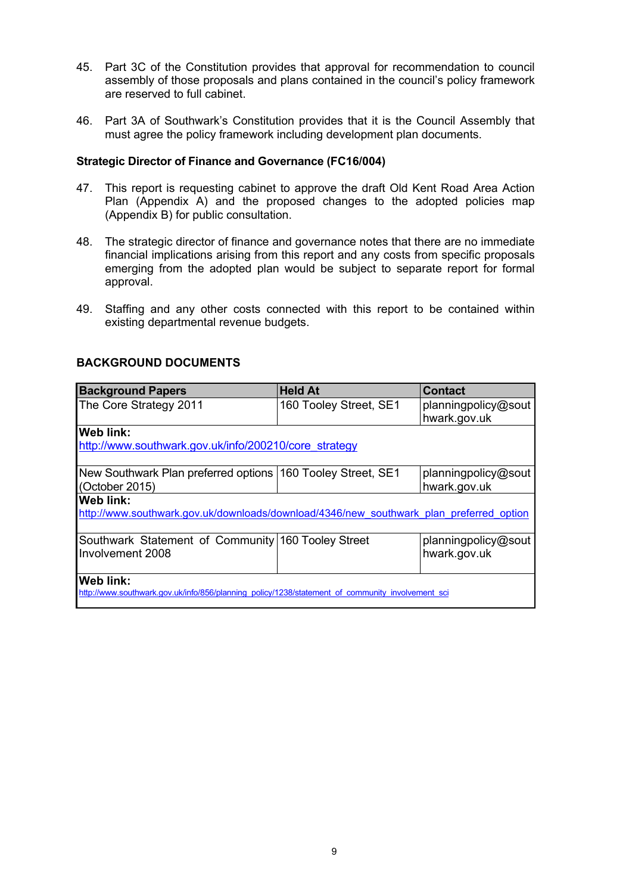- 45. Part 3C of the Constitution provides that approval for recommendation to council assembly of those proposals and plans contained in the council's policy framework are reserved to full cabinet.
- 46. Part 3A of Southwark's Constitution provides that it is the Council Assembly that must agree the policy framework including development plan documents.

#### **Strategic Director of Finance and Governance (FC16/004)**

- 47. This report is requesting cabinet to approve the draft Old Kent Road Area Action Plan (Appendix A) and the proposed changes to the adopted policies map (Appendix B) for public consultation.
- 48. The strategic director of finance and governance notes that there are no immediate financial implications arising from this report and any costs from specific proposals emerging from the adopted plan would be subject to separate report for formal approval.
- 49. Staffing and any other costs connected with this report to be contained within existing departmental revenue budgets.

| <b>Background Papers</b>                                                                         | <b>Held At</b>         | <b>Contact</b>                      |  |  |  |  |
|--------------------------------------------------------------------------------------------------|------------------------|-------------------------------------|--|--|--|--|
| The Core Strategy 2011                                                                           | 160 Tooley Street, SE1 | planningpolicy@sout<br>hwark.gov.uk |  |  |  |  |
| Web link:                                                                                        |                        |                                     |  |  |  |  |
| http://www.southwark.gov.uk/info/200210/core strategy                                            |                        |                                     |  |  |  |  |
|                                                                                                  |                        |                                     |  |  |  |  |
| New Southwark Plan preferred options 160 Tooley Street, SE1                                      |                        | planningpolicy@sout                 |  |  |  |  |
| (October 2015)                                                                                   |                        | hwark.gov.uk                        |  |  |  |  |
| Web link:                                                                                        |                        |                                     |  |  |  |  |
| http://www.southwark.gov.uk/downloads/download/4346/new southwark plan preferred option          |                        |                                     |  |  |  |  |
|                                                                                                  |                        |                                     |  |  |  |  |
| Southwark Statement of Community 160 Tooley Street                                               |                        | planningpolicy@sout                 |  |  |  |  |
| Involvement 2008                                                                                 |                        | hwark.gov.uk                        |  |  |  |  |
|                                                                                                  |                        |                                     |  |  |  |  |
| Web link:                                                                                        |                        |                                     |  |  |  |  |
| http://www.southwark.gov.uk/info/856/planning policy/1238/statement of community involvement sci |                        |                                     |  |  |  |  |

#### **BACKGROUND DOCUMENTS**